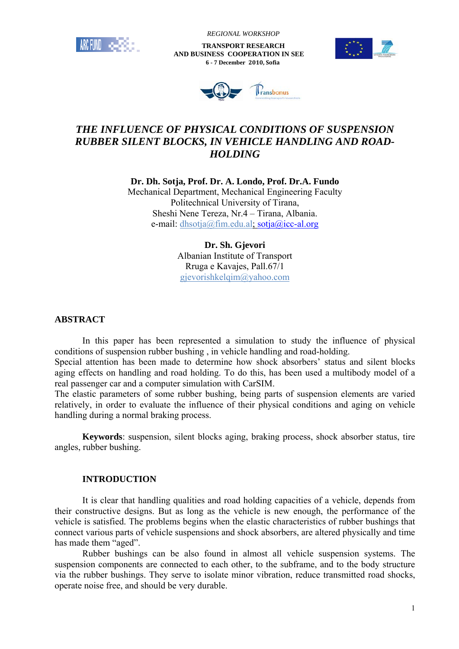

 *REGIONAL WORKSHOP*

 **TRANSPORT RESEARCH AND BUSINESS COOPERATION IN SEE 6 - 7 December 2010, Sofia**





# *THE INFLUENCE OF PHYSICAL CONDITIONS OF SUSPENSION RUBBER SILENT BLOCKS, IN VEHICLE HANDLING AND ROAD-HOLDING*

**Dr. Dh. Sotja, Prof. Dr. A. Londo, Prof. Dr.A. Fundo**  Mechanical Department, Mechanical Engineering Faculty Politechnical University of Tirana, Sheshi Nene Tereza, Nr.4 – Tirana, Albania. e-mail: dhsotja@fim.edu.al; sotja@icc-al.org

> **Dr. Sh. Gjevori**  Albanian Institute of Transport Rruga e Kavajes, Pall.67/1 gjevorishkelqim@yahoo.com

# **ABSTRACT**

 In this paper has been represented a simulation to study the influence of physical conditions of suspension rubber bushing , in vehicle handling and road-holding.

Special attention has been made to determine how shock absorbers' status and silent blocks aging effects on handling and road holding. To do this, has been used a multibody model of a real passenger car and a computer simulation with CarSIM.

The elastic parameters of some rubber bushing, being parts of suspension elements are varied relatively, in order to evaluate the influence of their physical conditions and aging on vehicle handling during a normal braking process.

**Keywords**: suspension, silent blocks aging, braking process, shock absorber status, tire angles, rubber bushing.

## **INTRODUCTION**

 It is clear that handling qualities and road holding capacities of a vehicle, depends from their constructive designs. But as long as the vehicle is new enough, the performance of the vehicle is satisfied. The problems begins when the elastic characteristics of rubber bushings that connect various parts of vehicle suspensions and shock absorbers, are altered physically and time has made them "aged".

 Rubber bushings can be also found in almost all vehicle suspension systems. The suspension components are connected to each other, to the subframe, and to the body structure via the rubber bushings. They serve to isolate minor vibration, reduce transmitted road shocks, operate noise free, and should be very durable.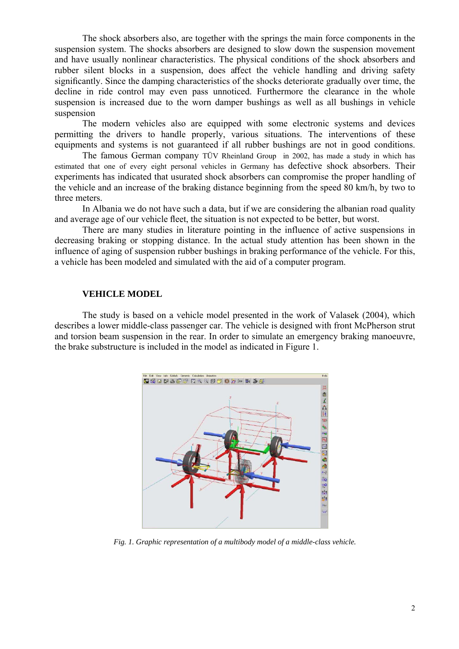The shock absorbers also, are together with the springs the main force components in the suspension system. The shocks absorbers are designed to slow down the suspension movement and have usually nonlinear characteristics. The physical conditions of the shock absorbers and rubber silent blocks in a suspension, does affect the vehicle handling and driving safety significantly. Since the damping characteristics of the shocks deteriorate gradually over time, the decline in ride control may even pass unnoticed. Furthermore the clearance in the whole suspension is increased due to the worn damper bushings as well as all bushings in vehicle suspension

 The modern vehicles also are equipped with some electronic systems and devices permitting the drivers to handle properly, various situations. The interventions of these equipments and systems is not guaranteed if all rubber bushings are not in good conditions.

 The famous German company TÜV Rheinland Group in 2002, has made a study in which has estimated that one of every eight personal vehicles in Germany has defective shock absorbers. Their experiments has indicated that usurated shock absorbers can compromise the proper handling of the vehicle and an increase of the braking distance beginning from the speed 80 km/h, by two to three meters.

 In Albania we do not have such a data, but if we are considering the albanian road quality and average age of our vehicle fleet, the situation is not expected to be better, but worst.

 There are many studies in literature pointing in the influence of active suspensions in decreasing braking or stopping distance. In the actual study attention has been shown in the influence of aging of suspension rubber bushings in braking performance of the vehicle. For this, a vehicle has been modeled and simulated with the aid of a computer program.

### **VEHICLE MODEL**

 The study is based on a vehicle model presented in the work of Valasek (2004), which describes a lower middle-class passenger car. The vehicle is designed with front McPherson strut and torsion beam suspension in the rear. In order to simulate an emergency braking manoeuvre, the brake substructure is included in the model as indicated in Figure 1.



*Fig. 1. Graphic representation of a multibody model of a middle-class vehicle.*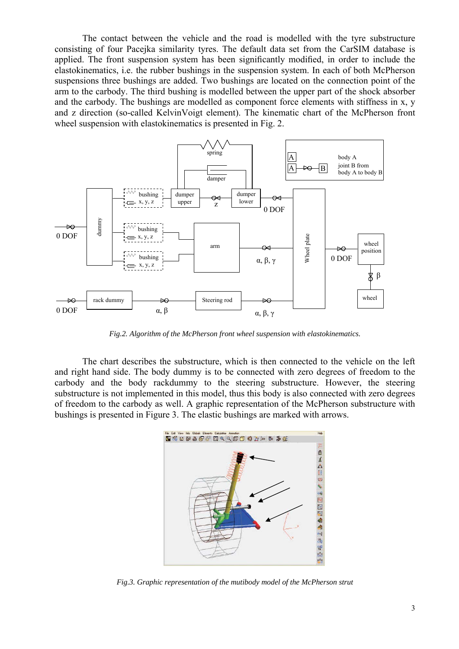The contact between the vehicle and the road is modelled with the tyre substructure consisting of four Pacejka similarity tyres. The default data set from the CarSIM database is applied. The front suspension system has been significantly modified, in order to include the elastokinematics, i.e. the rubber bushings in the suspension system. In each of both McPherson suspensions three bushings are added. Two bushings are located on the connection point of the arm to the carbody. The third bushing is modelled between the upper part of the shock absorber and the carbody. The bushings are modelled as component force elements with stiffness in x, y and z direction (so-called KelvinVoigt element). The kinematic chart of the McPherson front wheel suspension with elastokinematics is presented in Fig. 2.



*Fig.2. Algorithm of the McPherson front wheel suspension with elastokinematics.* 

 The chart describes the substructure, which is then connected to the vehicle on the left and right hand side. The body dummy is to be connected with zero degrees of freedom to the carbody and the body rackdummy to the steering substructure. However, the steering substructure is not implemented in this model, thus this body is also connected with zero degrees of freedom to the carbody as well. A graphic representation of the McPherson substructure with bushings is presented in Figure 3. The elastic bushings are marked with arrows.



*Fig.3. Graphic representation of the mutibody model of the McPherson strut*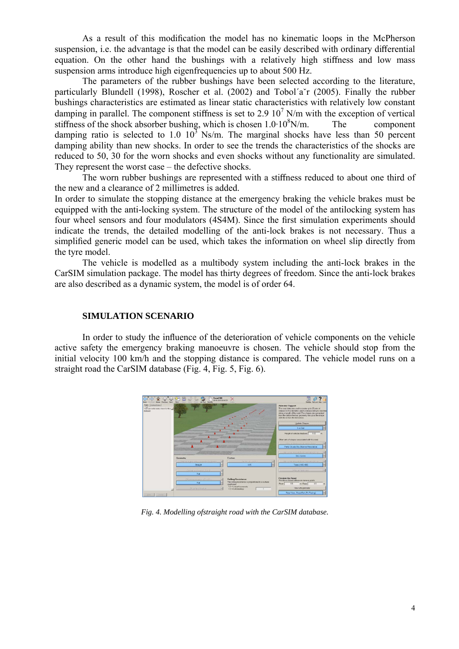As a result of this modification the model has no kinematic loops in the McPherson suspension, i.e. the advantage is that the model can be easily described with ordinary differential equation. On the other hand the bushings with a relatively high stiffness and low mass suspension arms introduce high eigenfrequencies up to about 500 Hz.

 The parameters of the rubber bushings have been selected according to the literature, particularly Blundell (1998), Roscher et al. (2002) and Tobol´aˇr (2005). Finally the rubber bushings characteristics are estimated as linear static characteristics with relatively low constant damping in parallel. The component stiffness is set to 2.9  $10^7$  N/m with the exception of vertical stiffness of the shock absorber bushing, which is chosen  $1.0 \cdot 10^8$ N/m. The component damping ratio is selected to 1.0  $10^3$  Ns/m. The marginal shocks have less than 50 percent damping ability than new shocks. In order to see the trends the characteristics of the shocks are reduced to 50, 30 for the worn shocks and even shocks without any functionality are simulated. They represent the worst case – the defective shocks.

 The worn rubber bushings are represented with a stiffness reduced to about one third of the new and a clearance of 2 millimetres is added.

In order to simulate the stopping distance at the emergency braking the vehicle brakes must be equipped with the anti-locking system. The structure of the model of the antilocking system has four wheel sensors and four modulators (4S4M). Since the first simulation experiments should indicate the trends, the detailed modelling of the anti-lock brakes is not necessary. Thus a simplified generic model can be used, which takes the information on wheel slip directly from the tyre model.

 The vehicle is modelled as a multibody system including the anti-lock brakes in the CarSIM simulation package. The model has thirty degrees of freedom. Since the anti-lock brakes are also described as a dynamic system, the model is of order 64.

# **SIMULATION SCENARIO**

 In order to study the influence of the deterioration of vehicle components on the vehicle active safety the emergency braking manoeuvre is chosen. The vehicle should stop from the initial velocity 100 km/h and the stopping distance is compared. The vehicle model runs on a straight road the CarSIM database (Fig. 4, Fig. 5, Fig. 6).



*Fig. 4. Modelling ofstraight road with the CarSIM database.*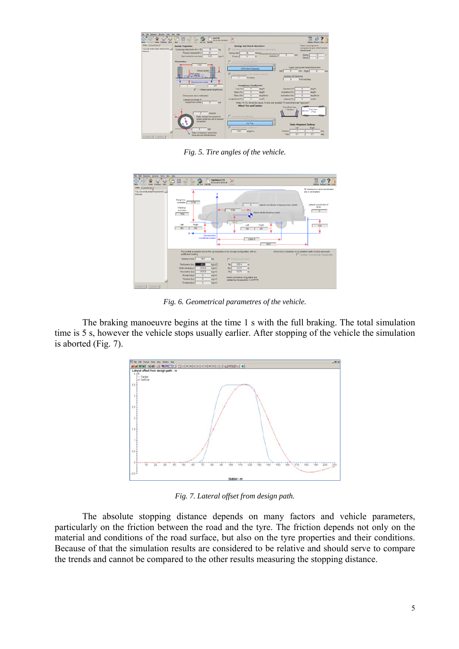

*Fig. 5. Tire angles of the vehicle.* 



*Fig. 6. Geometrical parametres of the vehicle.* 

 The braking manoeuvre begins at the time 1 s with the full braking. The total simulation time is 5 s, however the vehicle stops usually earlier. After stopping of the vehicle the simulation is aborted (Fig. 7).



*Fig. 7. Lateral offset from design path.* 

 The absolute stopping distance depends on many factors and vehicle parameters, particularly on the friction between the road and the tyre. The friction depends not only on the material and conditions of the road surface, but also on the tyre properties and their conditions. Because of that the simulation results are considered to be relative and should serve to compare the trends and cannot be compared to the other results measuring the stopping distance.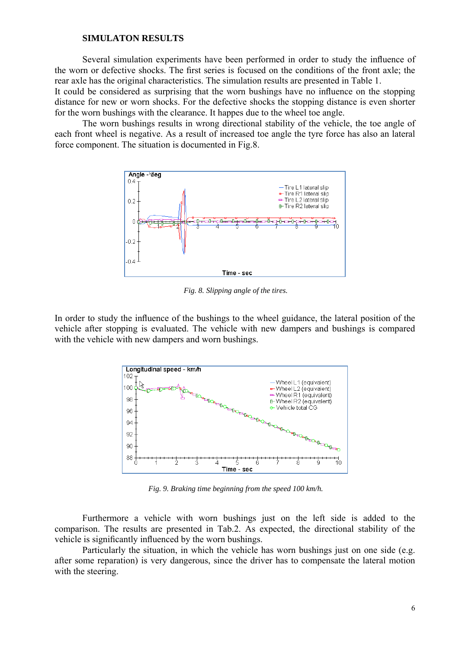### **SIMULATON RESULTS**

 Several simulation experiments have been performed in order to study the influence of the worn or defective shocks. The first series is focused on the conditions of the front axle; the rear axle has the original characteristics. The simulation results are presented in Table 1.

It could be considered as surprising that the worn bushings have no influence on the stopping distance for new or worn shocks. For the defective shocks the stopping distance is even shorter for the worn bushings with the clearance. It happes due to the wheel toe angle.

 The worn bushings results in wrong directional stability of the vehicle, the toe angle of each front wheel is negative. As a result of increased toe angle the tyre force has also an lateral force component. The situation is documented in Fig.8.



*Fig. 8. Slipping angle of the tires.* 

In order to study the influence of the bushings to the wheel guidance, the lateral position of the vehicle after stopping is evaluated. The vehicle with new dampers and bushings is compared with the vehicle with new dampers and worn bushings.



*Fig. 9. Braking time beginning from the speed 100 km/h.* 

 Furthermore a vehicle with worn bushings just on the left side is added to the comparison. The results are presented in Tab.2. As expected, the directional stability of the vehicle is significantly influenced by the worn bushings.

 Particularly the situation, in which the vehicle has worn bushings just on one side (e.g. after some reparation) is very dangerous, since the driver has to compensate the lateral motion with the steering.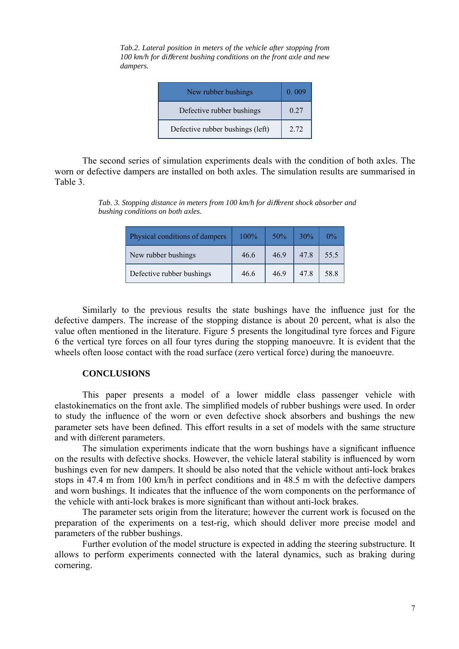| New rubber bushings              | 0.009 |
|----------------------------------|-------|
| Defective rubber bushings        | 0.27  |
| Defective rubber bushings (left) | 2.72  |

*Tab.2. Lateral position in meters of the vehicle after stopping from 100 km/h for di*ff*erent bushing conditions on the front axle and new dampers.* 

 The second series of simulation experiments deals with the condition of both axles. The worn or defective dampers are installed on both axles. The simulation results are summarised in Table 3.

| Physical conditions of dampers | $100\%$ | 50%  | 30% | $0\%$ |
|--------------------------------|---------|------|-----|-------|
| New rubber bushings            | 46.6    | 469  | 478 | 55.5  |
| Defective rubber bushings      | 46.6    | 46 9 | 478 | 58.8  |

*Tab. 3. Stopping distance in meters from 100 km/h for di*ff*erent shock absorber and bushing conditions on both axles.* 

 Similarly to the previous results the state bushings have the influence just for the defective dampers. The increase of the stopping distance is about 20 percent, what is also the value often mentioned in the literature. Figure 5 presents the longitudinal tyre forces and Figure 6 the vertical tyre forces on all four tyres during the stopping manoeuvre. It is evident that the wheels often loose contact with the road surface (zero vertical force) during the manoeuvre.

## **CONCLUSIONS**

 This paper presents a model of a lower middle class passenger vehicle with elastokinematics on the front axle. The simplified models of rubber bushings were used. In order to study the influence of the worn or even defective shock absorbers and bushings the new parameter sets have been defined. This effort results in a set of models with the same structure and with different parameters.

 The simulation experiments indicate that the worn bushings have a significant influence on the results with defective shocks. However, the vehicle lateral stability is influenced by worn bushings even for new dampers. It should be also noted that the vehicle without anti-lock brakes stops in 47.4 m from 100 km/h in perfect conditions and in 48.5 m with the defective dampers and worn bushings. It indicates that the influence of the worn components on the performance of the vehicle with anti-lock brakes is more significant than without anti-lock brakes.

 The parameter sets origin from the literature; however the current work is focused on the preparation of the experiments on a test-rig, which should deliver more precise model and parameters of the rubber bushings.

 Further evolution of the model structure is expected in adding the steering substructure. It allows to perform experiments connected with the lateral dynamics, such as braking during cornering.